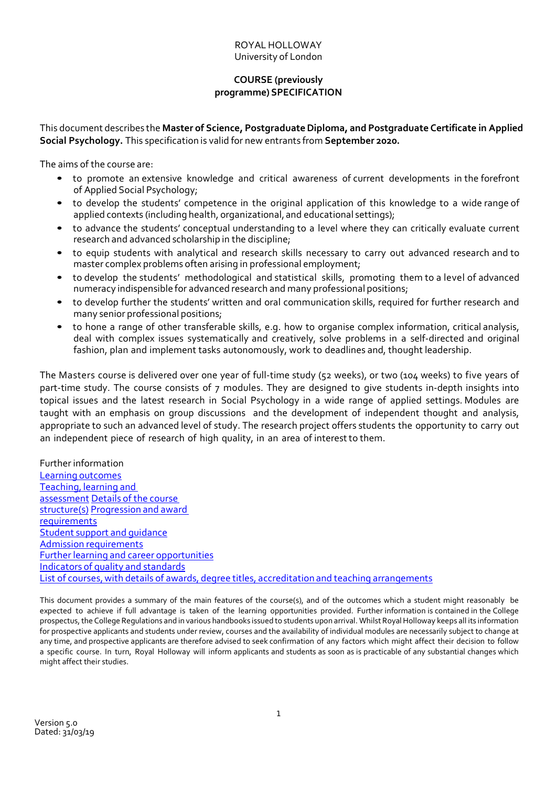#### ROYAL HOLLOWAY University of London

# **COURSE (previously programme) SPECIFICATION**

This document describes the **Master of Science, PostgraduateDiploma, and Postgraduate Certificate in Applied Social Psychology.** This specification is valid for new entrants from **September 2020.**

The aims of the course are:

- to promote an extensive knowledge and critical awareness of current developments in the forefront of Applied Social Psychology;
- to develop the students' competence in the original application of this knowledge to a wide range of applied contexts (including health, organizational, and educational settings);
- to advance the students' conceptual understanding to a level where they can critically evaluate current research and advanced scholarship in the discipline;
- to equip students with analytical and research skills necessary to carry out advanced research and to master complex problems often arising in professional employment;
- to develop the students' methodological and statistical skills, promoting them to a level of advanced numeracy indispensible for advanced research and many professional positions;
- to develop further the students' written and oral communication skills, required for further research and many senior professional positions;
- to hone a range of other transferable skills, e.g. how to organise complex information, critical analysis, deal with complex issues systematically and creatively, solve problems in a self-directed and original fashion, plan and implement tasks autonomously, work to deadlines and, thought leadership.

The Masters course is delivered over one year of full-time study (52 weeks), or two (104 weeks) to five years of part-time study. The course consists of 7 modules. They are designed to give students in-depth insights into topical issues and the latest research in Social Psychology in a wide range of applied settings. Modules are taught with an emphasis on group discussions and the development of independent thought and analysis, appropriate to such an advanced level of study. The research project offers students the opportunity to carry out an independent piece of research of high quality, in an area of interestto them.

Further information Learning outcomes Teaching, learning and assessment Details of the course structure(s) Progression and award requirements Student support and guidance Admission requirements Further learning and career opportunities Indicators of quality and standards List of courses, with details of awards, degree titles, accreditation and teaching arrangements

This document provides a summary of the main features of the course(s), and of the outcomes which a student might reasonably be expected to achieve if full advantage is taken of the learning opportunities provided. Further information is contained in the College prospectus, the College Regulations and in various handbooks issued to students upon arrival. WhilstRoyal Holloway keeps all its information for prospective applicants and students under review, courses and the availability of individual modules are necessarily subject to change at any time, and prospective applicants are therefore advised to seek confirmation of any factors which might affect their decision to follow a specific course. In turn, Royal Holloway will inform applicants and students as soon as is practicable of any substantial changes which might affect their studies.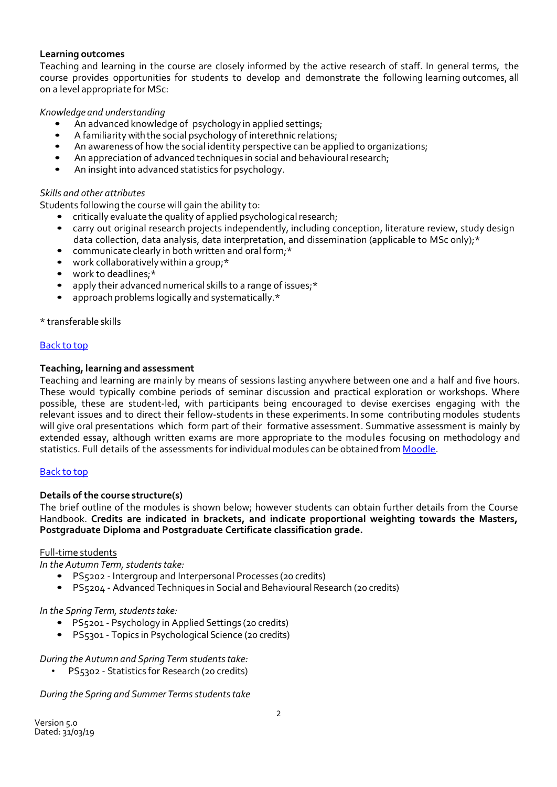### **Learning outcomes**

Teaching and learning in the course are closely informed by the active research of staff. In general terms, the course provides opportunities for students to develop and demonstrate the following learning outcomes, all on a level appropriate for MSc:

### *Knowledge and understanding*

- An advanced knowledge of psychology in applied settings;
- A familiarity with the social psychology of interethnic relations;
- An awareness of how the social identity perspective can be applied to organizations;
- An appreciation of advanced techniques in social and behavioural research;
- An insight into advanced statistics for psychology.

### *Skills and other attributes*

Students following the course will gain the ability to:

- critically evaluate the quality of applied psychological research;
- carry out original research projects independently, including conception, literature review, study design data collection, data analysis, data interpretation, and dissemination (applicable to MSc only);\*
- communicate clearly in both written and oral form;\*
- work collaboratively within a group;\*
- work to deadlines:\*
- apply their advanced numerical skills to a range of issues;\*
- approach problems logically and systematically.\*

\* transferable skills

### Back to top

### **Teaching, learning and assessment**

Teaching and learning are mainly by means of sessions lasting anywhere between one and a half and five hours. These would typically combine periods of seminar discussion and practical exploration or workshops. Where possible, these are student-led, with participants being encouraged to devise exercises engaging with the relevant issues and to direct their fellow-students in these experiments. In some contributing modules students will give oral presentations which form part of their formative assessment. Summative assessment is mainly by extended essay, although written exams are more appropriate to the modules focusing on methodology and statistics. Full details of the assessments for individual modules can be obtained from [Moodle.](https://moodle.royalholloway.ac.uk/)

### Back to top

### **Details of the course structure(s)**

The brief outline of the modules is shown below; however students can obtain further details from the Course Handbook. **Credits are indicated in brackets, and indicate proportional weighting towards the Masters, Postgraduate Diploma and Postgraduate Certificate classification grade.**

### Full-time students

*In the Autumn Term, students take:* 

- PS5202 Intergroup and Interpersonal Processes (20 credits)
- PS5204 Advanced Techniques in Social and Behavioural Research (20 credits)

### *In the Spring Term, students take:*

- PS5201 Psychology in Applied Settings (20 credits)
- PS5301 Topics in Psychological Science (20 credits)

### *During the Autumn and Spring Term studentstake:*

• PS5302 - Statistics for Research (20 credits)

*During the Spring and Summer Terms students take*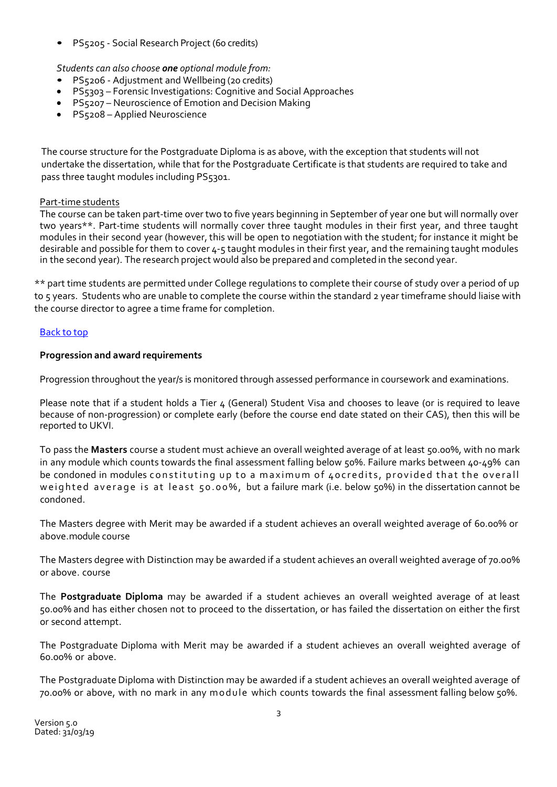• PS5205 - Social Research Project (60 credits)

# *Students can also choose one optional module from:*

- PS5206 Adjustment and Wellbeing (20 credits)
- PS5303 Forensic Investigations: Cognitive and Social Approaches
- PS5207 Neuroscience of Emotion and Decision Making
- PS5208 Applied Neuroscience

The course structure for the Postgraduate Diploma is as above, with the exception that students will not undertake the dissertation, while that for the Postgraduate Certificate is that students are required to take and pass three taught modules including PS5301.

### Part-time students

The course can be taken part-time over two to five years beginning in September of year one but will normally over two years\*\*. Part-time students will normally cover three taught modules in their first year, and three taught modules in their second year (however, this will be open to negotiation with the student; for instance it might be desirable and possible for them to cover 4-5 taught modules in their first year, and the remaining taught modules in the second year). The research project would also be prepared and completed in the second year.

\*\* part time students are permitted under College regulations to complete their course of study over a period of up to 5 years. Students who are unable to complete the course within the standard 2 year timeframe should liaise with the course director to agree a time frame for completion.

# Back to top

# **Progression and award requirements**

Progression throughout the year/s is monitored through assessed performance in coursework and examinations.

Please note that if a student holds a Tier 4 (General) Student Visa and chooses to leave (or is required to leave because of non-progression) or complete early (before the course end date stated on their CAS), then this will be reported to UKVI.

To pass the **Masters** course a student must achieve an overall weighted average of at least 50.00%, with no mark in any module which counts towards the final assessment falling below 50%. Failure marks between 40-49% can be condoned in modules constituting up to a maximum of 40credits, provided that the overall weighted average is at least 50.00%, but a failure mark (i.e. below 50%) in the dissertation cannot be condoned.

The Masters degree with Merit may be awarded if a student achieves an overall weighted average of 60.00% or above.module course

The Masters degree with Distinction may be awarded if a student achieves an overall weighted average of 70.00% or above. course

The **Postgraduate Diploma** may be awarded if a student achieves an overall weighted average of at least 50.00% and has either chosen not to proceed to the dissertation, or has failed the dissertation on either the first or second attempt.

The Postgraduate Diploma with Merit may be awarded if a student achieves an overall weighted average of 60.00% or above.

The Postgraduate Diploma with Distinction may be awarded if a student achieves an overall weighted average of 70.00% or above, with no mark in any module which counts towards the final assessment falling below 50%.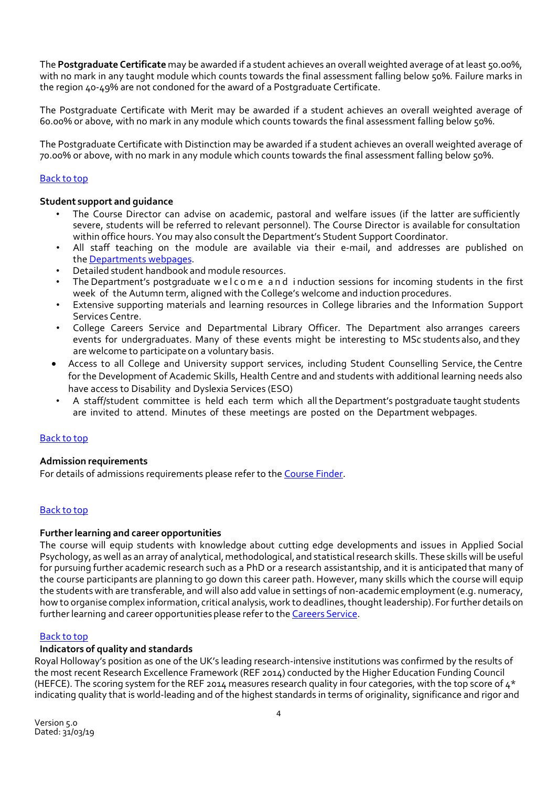The **Postgraduate Certificate** may be awarded if a student achieves an overall weighted average of at least 50.00%, with no mark in any taught module which counts towards the final assessment falling below 50%. Failure marks in the region 40-49% are not condoned for the award of a Postgraduate Certificate.

The Postgraduate Certificate with Merit may be awarded if a student achieves an overall weighted average of 60.00% or above, with no mark in any module which counts towards the final assessment falling below 50%.

The Postgraduate Certificate with Distinction may be awarded if a student achieves an overall weighted average of 70.00% or above, with no mark in any module which counts towards the final assessment falling below 50%.

## Back to top

### **Student support and guidance**

- The Course Director can advise on academic, pastoral and welfare issues (if the latter are sufficiently severe, students will be referred to relevant personnel). The Course Director is available for consultation within office hours. You may also consult the Department's Student Support Coordinator.
- All staff teaching on the module are available via their e-mail, and addresses are published on the [Departments webpages.](https://www.royalholloway.ac.uk/psychology/studentintranet/coursespecifications.aspx)
- Detailed student handbook and module resources.
- The Department's postgraduate welcome and induction sessions for incoming students in the first week of the Autumn term, aligned with the College's welcome and induction procedures.
- Extensive supporting materials and learning resources in College libraries and the Information Support Services Centre.
- College Careers Service and Departmental Library Officer. The Department also arranges careers events for undergraduates. Many of these events might be interesting to MSc students also, and they are welcome to participate on a voluntary basis.
- Access to all College and University support services, including Student Counselling Service, the Centre for the Development of Academic Skills, Health Centre and and students with additional learning needs also have access to Disability and Dyslexia Services (ESO)
- A staff/student committee is held each term which all the Department's postgraduate taught students are invited to attend. Minutes of these meetings are posted on the Department webpages.

### Back to top

### **Admission requirements**

For details of admissions requirements please refer to th[e Course Finder.](https://www.royalholloway.ac.uk/coursecatalogue/home.aspx)

### Back to top

### **Furtherlearning and career opportunities**

The course will equip students with knowledge about cutting edge developments and issues in Applied Social Psychology, as well as an array of analytical, methodological, and statistical research skills. These skills will be useful for pursuing further academic research such as a PhD or a research assistantship, and it is anticipated that many of the course participants are planning to go down this career path. However, many skills which the course will equip the students with are transferable, and will also add value in settings of non-academic employment(e.g. numeracy, how to organise complex information, critical analysis, work to deadlines, thought leadership). For further details on further learning and career opportunities please refer to the Careers [Service.](http://www.rhul.ac.uk/careers/)

### Back to top

### **Indicators of quality and standards**

Royal Holloway's position as one of the UK's leading research-intensive institutions was confirmed by the results of the most recent Research Excellence Framework (REF 2014) conducted by the Higher Education Funding Council (HEFCE). The scoring system for the REF 2014 measures research quality in four categories, with the top score of  $4*$ indicating quality that is world-leading and of the highest standards in terms of originality, significance and rigor and